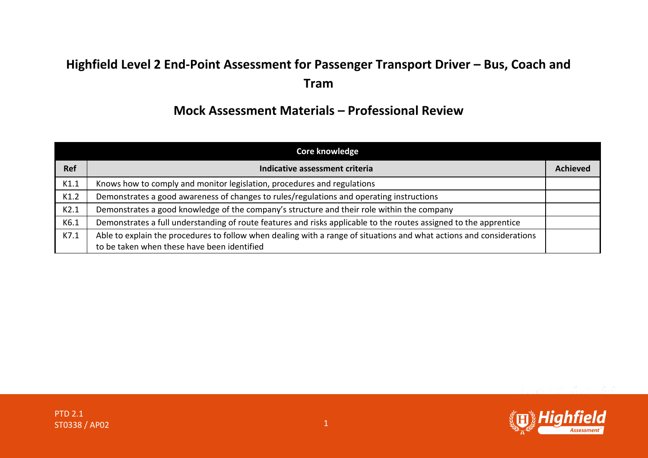## **Highfield Level 2 End-Point Assessment for Passenger Transport Driver – Bus, Coach and Tram**

## **Mock Assessment Materials – Professional Review**

|            | <b>Core knowledge</b>                                                                                                |                 |
|------------|----------------------------------------------------------------------------------------------------------------------|-----------------|
| <b>Ref</b> | Indicative assessment criteria                                                                                       | <b>Achieved</b> |
| K1.1       | Knows how to comply and monitor legislation, procedures and regulations                                              |                 |
| K1.2       | Demonstrates a good awareness of changes to rules/regulations and operating instructions                             |                 |
| K2.1       | Demonstrates a good knowledge of the company's structure and their role within the company                           |                 |
| K6.1       | Demonstrates a full understanding of route features and risks applicable to the routes assigned to the apprentice    |                 |
| K7.1       | Able to explain the procedures to follow when dealing with a range of situations and what actions and considerations |                 |
|            | to be taken when these have been identified                                                                          |                 |

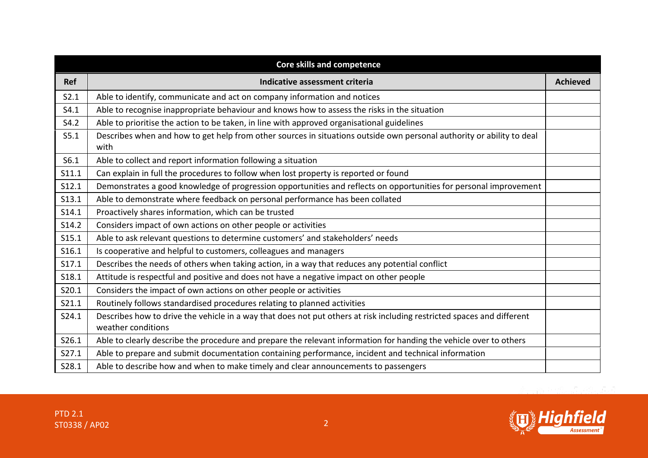|            | <b>Core skills and competence</b>                                                                                                            |                 |
|------------|----------------------------------------------------------------------------------------------------------------------------------------------|-----------------|
| <b>Ref</b> | Indicative assessment criteria                                                                                                               | <b>Achieved</b> |
| S2.1       | Able to identify, communicate and act on company information and notices                                                                     |                 |
| S4.1       | Able to recognise inappropriate behaviour and knows how to assess the risks in the situation                                                 |                 |
| S4.2       | Able to prioritise the action to be taken, in line with approved organisational guidelines                                                   |                 |
| S5.1       | Describes when and how to get help from other sources in situations outside own personal authority or ability to deal<br>with                |                 |
| S6.1       | Able to collect and report information following a situation                                                                                 |                 |
| S11.1      | Can explain in full the procedures to follow when lost property is reported or found                                                         |                 |
| S12.1      | Demonstrates a good knowledge of progression opportunities and reflects on opportunities for personal improvement                            |                 |
| S13.1      | Able to demonstrate where feedback on personal performance has been collated                                                                 |                 |
| S14.1      | Proactively shares information, which can be trusted                                                                                         |                 |
| S14.2      | Considers impact of own actions on other people or activities                                                                                |                 |
| S15.1      | Able to ask relevant questions to determine customers' and stakeholders' needs                                                               |                 |
| S16.1      | Is cooperative and helpful to customers, colleagues and managers                                                                             |                 |
| S17.1      | Describes the needs of others when taking action, in a way that reduces any potential conflict                                               |                 |
| S18.1      | Attitude is respectful and positive and does not have a negative impact on other people                                                      |                 |
| S20.1      | Considers the impact of own actions on other people or activities                                                                            |                 |
| S21.1      | Routinely follows standardised procedures relating to planned activities                                                                     |                 |
| S24.1      | Describes how to drive the vehicle in a way that does not put others at risk including restricted spaces and different<br>weather conditions |                 |
| S26.1      | Able to clearly describe the procedure and prepare the relevant information for handing the vehicle over to others                           |                 |
| S27.1      | Able to prepare and submit documentation containing performance, incident and technical information                                          |                 |
| S28.1      | Able to describe how and when to make timely and clear announcements to passengers                                                           |                 |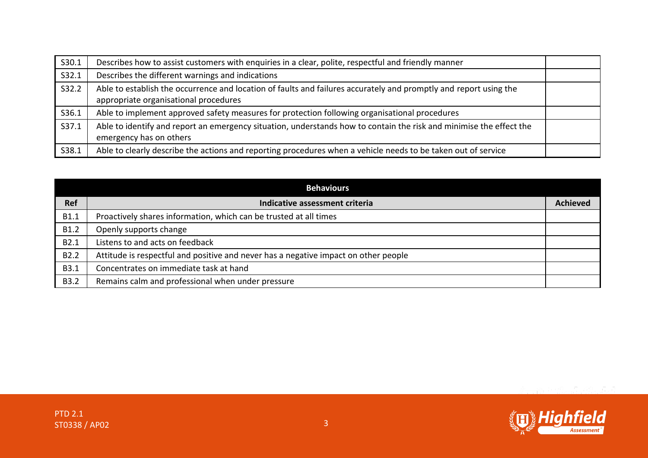| S30.1 | Describes how to assist customers with enquiries in a clear, polite, respectful and friendly manner                                                        |  |
|-------|------------------------------------------------------------------------------------------------------------------------------------------------------------|--|
| S32.1 | Describes the different warnings and indications                                                                                                           |  |
| S32.2 | Able to establish the occurrence and location of faults and failures accurately and promptly and report using the<br>appropriate organisational procedures |  |
| S36.1 | Able to implement approved safety measures for protection following organisational procedures                                                              |  |
| S37.1 | Able to identify and report an emergency situation, understands how to contain the risk and minimise the effect the<br>emergency has on others             |  |
| S38.1 | Able to clearly describe the actions and reporting procedures when a vehicle needs to be taken out of service                                              |  |

|                  | <b>Behaviours</b>                                                                   |                 |
|------------------|-------------------------------------------------------------------------------------|-----------------|
| <b>Ref</b>       | Indicative assessment criteria                                                      | <b>Achieved</b> |
| B1.1             | Proactively shares information, which can be trusted at all times                   |                 |
| B1.2             | Openly supports change                                                              |                 |
| B2.1             | Listens to and acts on feedback                                                     |                 |
| B <sub>2.2</sub> | Attitude is respectful and positive and never has a negative impact on other people |                 |
| <b>B3.1</b>      | Concentrates on immediate task at hand                                              |                 |
| <b>B3.2</b>      | Remains calm and professional when under pressure                                   |                 |